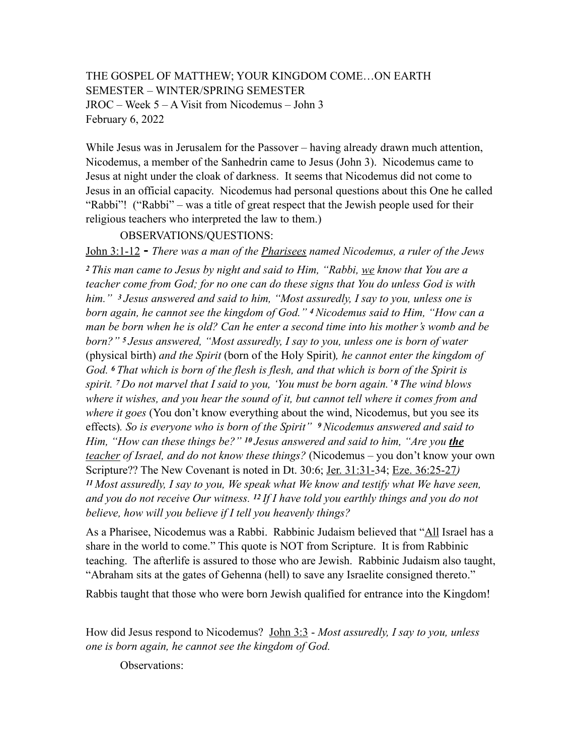## THE GOSPEL OF MATTHEW; YOUR KINGDOM COME…ON EARTH SEMESTER – WINTER/SPRING SEMESTER JROC – Week 5 – A Visit from Nicodemus – John 3 February 6, 2022

While Jesus was in Jerusalem for the Passover – having already drawn much attention, Nicodemus, a member of the Sanhedrin came to Jesus (John 3). Nicodemus came to Jesus at night under the cloak of darkness. It seems that Nicodemus did not come to Jesus in an official capacity. Nicodemus had personal questions about this One he called "Rabbi"! ("Rabbi" – was a title of great respect that the Jewish people used for their religious teachers who interpreted the law to them.)

OBSERVATIONS/QUESTIONS:

John 3:1-12 **-** *There was a man of the Pharisees named Nicodemus, a ruler of the Jews <sup>2</sup>This man came to Jesus by night and said to Him, "Rabbi, we know that You are a teacher come from God; for no one can do these signs that You do unless God is with him." 3 Jesus answered and said to him, "Most assuredly, I say to you, unless one is born again, he cannot see the kingdom of God." 4 Nicodemus said to Him, "How can a man be born when he is old? Can he enter a second time into his mother's womb and be born?" 5 Jesus answered, "Most assuredly, I say to you, unless one is born of water*  (physical birth) *and the Spirit* (born of the Holy Spirit)*, he cannot enter the kingdom of God. 6 That which is born of the flesh is flesh, and that which is born of the Spirit is spirit. 7 Do not marvel that I said to you, 'You must be born again.' 8 The wind blows where it wishes, and you hear the sound of it, but cannot tell where it comes from and where it goes* (You don't know everything about the wind, Nicodemus, but you see its effects)*. So is everyone who is born of the Spirit" 9 Nicodemus answered and said to Him, "How can these things be?" 10 Jesus answered and said to him, "Are you the teacher of Israel, and do not know these things?* (Nicodemus – you don't know your own Scripture?? The New Covenant is noted in Dt. 30:6; Jer. 31:31-34; Eze. 36:25-27*) <sup>11</sup>Most assuredly, I say to you, We speak what We know and testify what We have seen, and you do not receive Our witness. 12 If I have told you earthly things and you do not believe, how will you believe if I tell you heavenly things?* 

As a Pharisee, Nicodemus was a Rabbi. Rabbinic Judaism believed that "All Israel has a share in the world to come." This quote is NOT from Scripture. It is from Rabbinic teaching. The afterlife is assured to those who are Jewish. Rabbinic Judaism also taught, "Abraham sits at the gates of Gehenna (hell) to save any Israelite consigned thereto."

Rabbis taught that those who were born Jewish qualified for entrance into the Kingdom!

How did Jesus respond to Nicodemus? John 3:3 - *Most assuredly, I say to you, unless one is born again, he cannot see the kingdom of God.* 

Observations: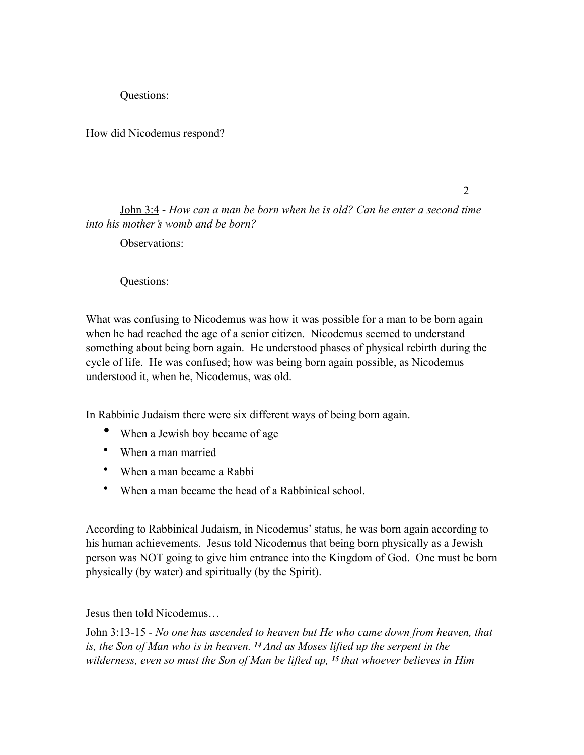Questions:

How did Nicodemus respond?

2

John 3:4 - *How can a man be born when he is old? Can he enter a second time into his mother's womb and be born?*

Observations<sup>.</sup>

Questions:

What was confusing to Nicodemus was how it was possible for a man to be born again when he had reached the age of a senior citizen. Nicodemus seemed to understand something about being born again. He understood phases of physical rebirth during the cycle of life. He was confused; how was being born again possible, as Nicodemus understood it, when he, Nicodemus, was old.

In Rabbinic Judaism there were six different ways of being born again.

- When a Jewish boy became of age
- When a man married
- When a man became a Rabbi
- When a man became the head of a Rabbinical school.

According to Rabbinical Judaism, in Nicodemus' status, he was born again according to his human achievements. Jesus told Nicodemus that being born physically as a Jewish person was NOT going to give him entrance into the Kingdom of God. One must be born physically (by water) and spiritually (by the Spirit).

Jesus then told Nicodemus…

John 3:13-15 - *No one has ascended to heaven but He who came down from heaven, that is, the Son of Man who is in heaven. 14 And as Moses lifted up the serpent in the wilderness, even so must the Son of Man be lifted up, 15 that whoever believes in Him*